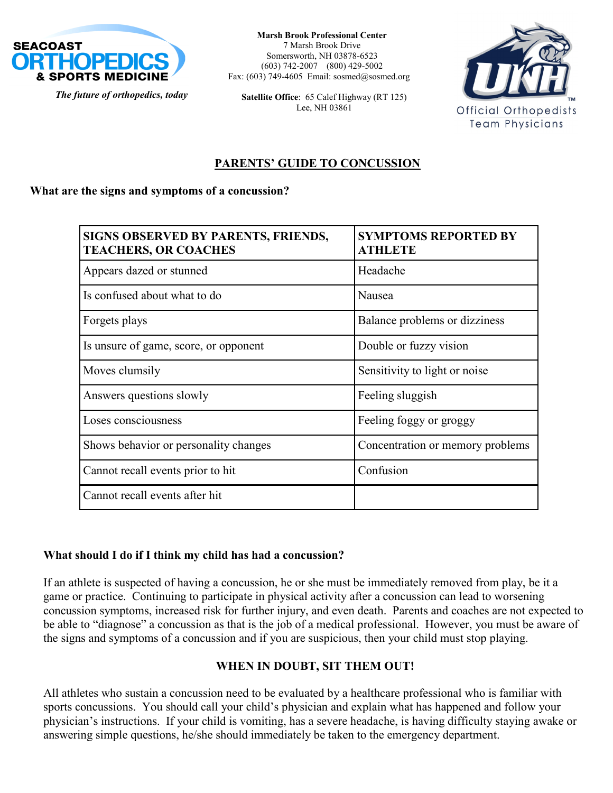

**Marsh Brook Professional Center** 7 Marsh Brook Drive Somersworth, NH 03878-6523 (603) 742-2007 (800) 429-5002 Fax: (603) 749-4605 Email: sosmed@sosmed.org

**Satellite Office**: 65 Calef Highway (RT 125) Lee, NH 03861



## **PARENTS' GUIDE TO CONCUSSION**

#### **What are the signs and symptoms of a concussion?**

| <b>SIGNS OBSERVED BY PARENTS, FRIENDS,</b><br><b>TEACHERS, OR COACHES</b> | <b>SYMPTOMS REPORTED BY</b><br><b>ATHLETE</b> |
|---------------------------------------------------------------------------|-----------------------------------------------|
| Appears dazed or stunned                                                  | Headache                                      |
| Is confused about what to do                                              | Nausea                                        |
| Forgets plays                                                             | Balance problems or dizziness                 |
| Is unsure of game, score, or opponent                                     | Double or fuzzy vision                        |
| Moves clumsily                                                            | Sensitivity to light or noise                 |
| Answers questions slowly                                                  | Feeling sluggish                              |
| Loses consciousness                                                       | Feeling foggy or groggy                       |
| Shows behavior or personality changes                                     | Concentration or memory problems              |
| Cannot recall events prior to hit                                         | Confusion                                     |
| Cannot recall events after hit                                            |                                               |

#### **What should I do if I think my child has had a concussion?**

If an athlete is suspected of having a concussion, he or she must be immediately removed from play, be it a game or practice. Continuing to participate in physical activity after a concussion can lead to worsening concussion symptoms, increased risk for further injury, and even death. Parents and coaches are not expected to be able to "diagnose" a concussion as that is the job of a medical professional. However, you must be aware of the signs and symptoms of a concussion and if you are suspicious, then your child must stop playing.

## **WHEN IN DOUBT, SIT THEM OUT!**

physician's instructions. If your child is vomiting, has a severe headache, is having difficulty staying awake or<br>answering simple questions, ho/she should immediately be taken to the emergency department. All athletes who sustain a concussion need to be evaluated by a healthcare professional who is familiar with sports concussions. You should call your child's physician and explain what has happened and follow your answering simple questions, he/she should immediately be taken to the emergency department.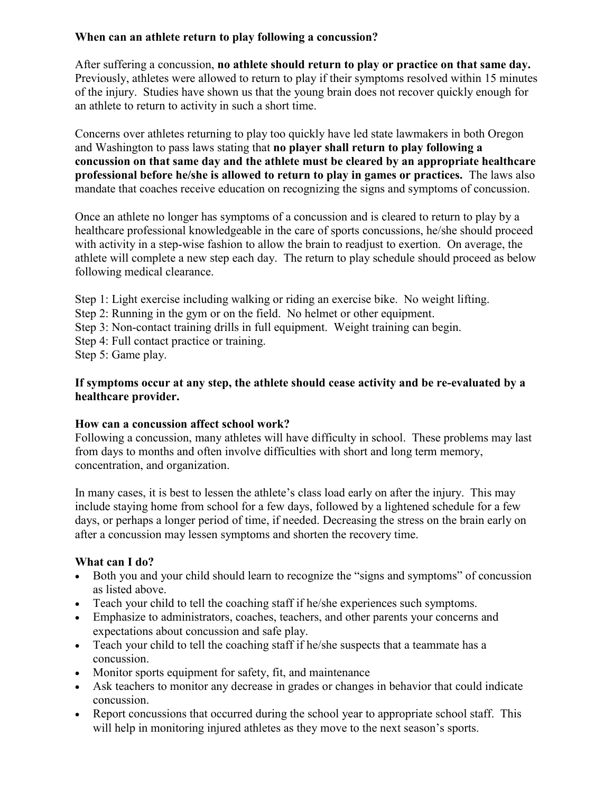## **When can an athlete return to play following a concussion?**

After suffering a concussion, **no athlete should return to play or practice on that same day.**  Previously, athletes were allowed to return to play if their symptoms resolved within 15 minutes of the injury. Studies have shown us that the young brain does not recover quickly enough for an athlete to return to activity in such a short time.

Concerns over athletes returning to play too quickly have led state lawmakers in both Oregon and Washington to pass laws stating that **no player shall return to play following a concussion on that same day and the athlete must be cleared by an appropriate healthcare professional before he/she is allowed to return to play in games or practices.** The laws also mandate that coaches receive education on recognizing the signs and symptoms of concussion.

Once an athlete no longer has symptoms of a concussion and is cleared to return to play by a healthcare professional knowledgeable in the care of sports concussions, he/she should proceed with activity in a step-wise fashion to allow the brain to readjust to exertion. On average, the athlete will complete a new step each day. The return to play schedule should proceed as below following medical clearance.

Step 1: Light exercise including walking or riding an exercise bike. No weight lifting.

Step 2: Running in the gym or on the field. No helmet or other equipment.

- Step 3: Non-contact training drills in full equipment. Weight training can begin.
- Step 4: Full contact practice or training.

Step 5: Game play.

### **If symptoms occur at any step, the athlete should cease activity and be re-evaluated by a healthcare provider.**

## **How can a concussion affect school work?**

Following a concussion, many athletes will have difficulty in school. These problems may last from days to months and often involve difficulties with short and long term memory, concentration, and organization.

In many cases, it is best to lessen the athlete's class load early on after the injury. This may include staying home from school for a few days, followed by a lightened schedule for a few days, or perhaps a longer period of time, if needed. Decreasing the stress on the brain early on after a concussion may lessen symptoms and shorten the recovery time.

# **What can I do?**

- Both you and your child should learn to recognize the "signs and symptoms" of concussion as listed above.
- Teach your child to tell the coaching staff if he/she experiences such symptoms.
- Emphasize to administrators, coaches, teachers, and other parents your concerns and expectations about concussion and safe play.
- Teach your child to tell the coaching staff if he/she suspects that a teammate has a concussion.
- Monitor sports equipment for safety, fit, and maintenance
- Ask teachers to monitor any decrease in grades or changes in behavior that could indicate concussion.
- Report concussions that occurred during the school year to appropriate school staff. This will help in monitoring injured athletes as they move to the next season's sports.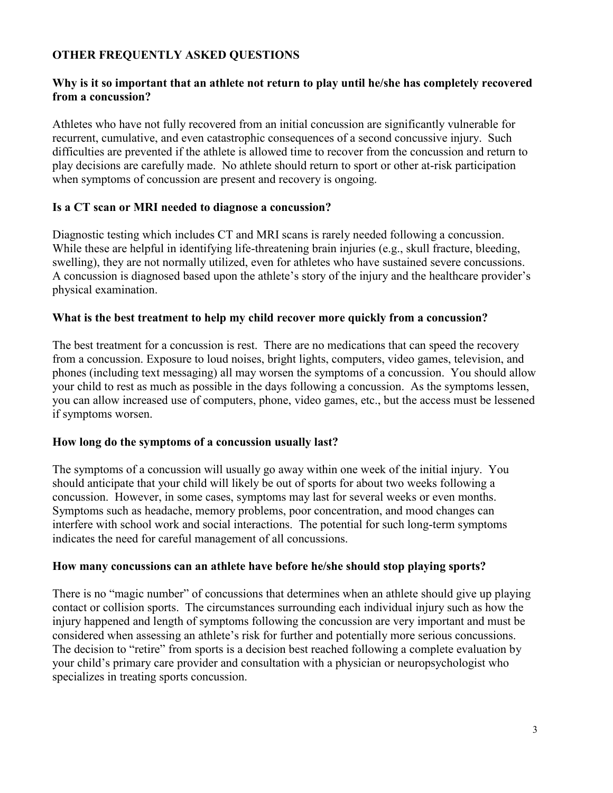## **OTHER FREQUENTLY ASKED QUESTIONS**

#### **Why is it so important that an athlete not return to play until he/she has completely recovered from a concussion?**

Athletes who have not fully recovered from an initial concussion are significantly vulnerable for recurrent, cumulative, and even catastrophic consequences of a second concussive injury. Such difficulties are prevented if the athlete is allowed time to recover from the concussion and return to play decisions are carefully made. No athlete should return to sport or other at-risk participation when symptoms of concussion are present and recovery is ongoing.

#### **Is a CT scan or MRI needed to diagnose a concussion?**

Diagnostic testing which includes CT and MRI scans is rarely needed following a concussion. While these are helpful in identifying life-threatening brain injuries (e.g., skull fracture, bleeding, swelling), they are not normally utilized, even for athletes who have sustained severe concussions. A concussion is diagnosed based upon the athlete's story of the injury and the healthcare provider's physical examination.

#### **What is the best treatment to help my child recover more quickly from a concussion?**

The best treatment for a concussion is rest. There are no medications that can speed the recovery from a concussion. Exposure to loud noises, bright lights, computers, video games, television, and phones (including text messaging) all may worsen the symptoms of a concussion. You should allow your child to rest as much as possible in the days following a concussion. As the symptoms lessen, you can allow increased use of computers, phone, video games, etc., but the access must be lessened if symptoms worsen.

#### **How long do the symptoms of a concussion usually last?**

The symptoms of a concussion will usually go away within one week of the initial injury. You should anticipate that your child will likely be out of sports for about two weeks following a concussion. However, in some cases, symptoms may last for several weeks or even months. Symptoms such as headache, memory problems, poor concentration, and mood changes can interfere with school work and social interactions. The potential for such long-term symptoms indicates the need for careful management of all concussions.

#### **How many concussions can an athlete have before he/she should stop playing sports?**

There is no "magic number" of concussions that determines when an athlete should give up playing contact or collision sports. The circumstances surrounding each individual injury such as how the injury happened and length of symptoms following the concussion are very important and must be considered when assessing an athlete's risk for further and potentially more serious concussions. The decision to "retire" from sports is a decision best reached following a complete evaluation by your child's primary care provider and consultation with a physician or neuropsychologist who specializes in treating sports concussion.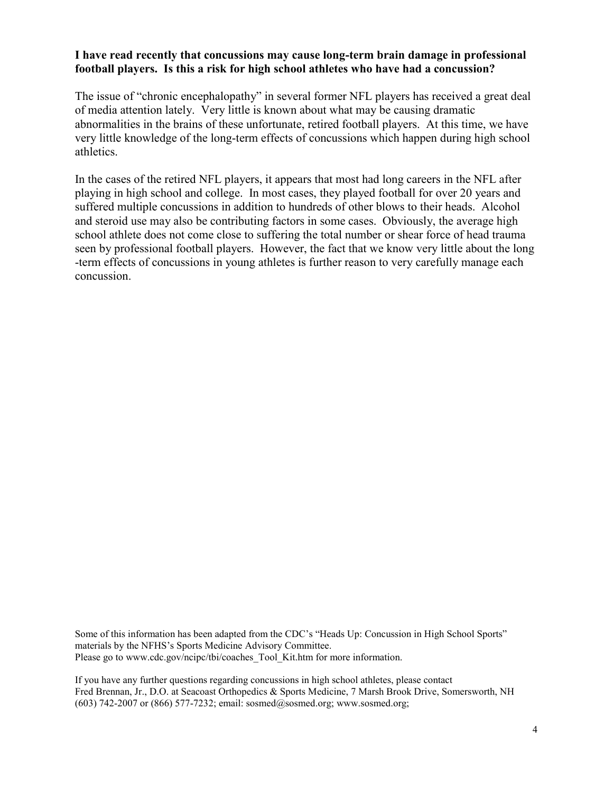#### **I have read recently that concussions may cause long-term brain damage in professional football players. Is this a risk for high school athletes who have had a concussion?**

The issue of "chronic encephalopathy" in several former NFL players has received a great deal of media attention lately. Very little is known about what may be causing dramatic abnormalities in the brains of these unfortunate, retired football players. At this time, we have very little knowledge of the long-term effects of concussions which happen during high school athletics.

In the cases of the retired NFL players, it appears that most had long careers in the NFL after playing in high school and college. In most cases, they played football for over 20 years and suffered multiple concussions in addition to hundreds of other blows to their heads. Alcohol and steroid use may also be contributing factors in some cases. Obviously, the average high school athlete does not come close to suffering the total number or shear force of head trauma seen by professional football players. However, the fact that we know very little about the long -term effects of concussions in young athletes is further reason to very carefully manage each concussion.

Some of this information has been adapted from the CDC's "Heads Up: Concussion in High School Sports" materials by the NFHS's Sports Medicine Advisory Committee. Please go to www.cdc.gov/ncipc/tbi/coaches\_Tool\_Kit.htm for more information.

If you have any further questions regarding concussions in high school athletes, please contact Fred Brennan, Jr., D.O. at Seacoast Orthopedics & Sports Medicine, 7 Marsh Brook Drive, Somersworth, NH (603) 742-2007 or (866) 577-7232; email: sosmed@sosmed.org; www.sosmed.org;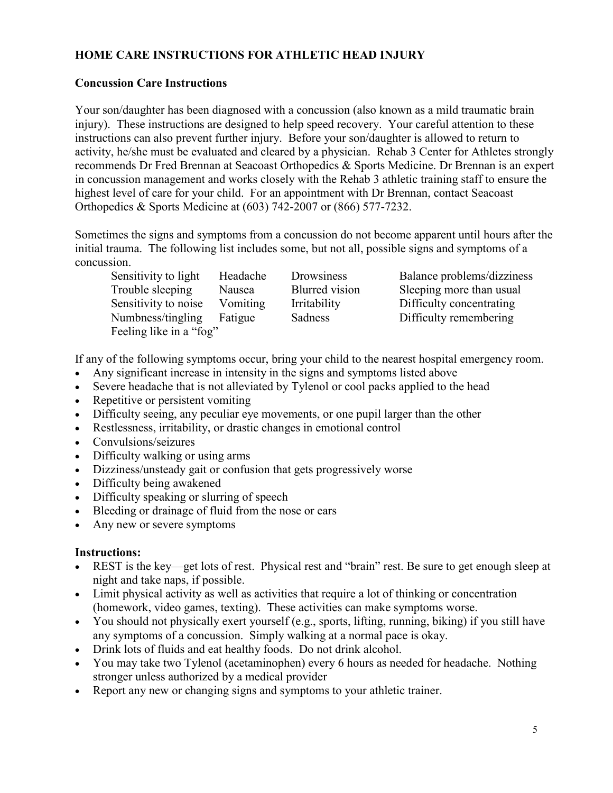# **HOME CARE INSTRUCTIONS FOR ATHLETIC HEAD INJURY**

## **Concussion Care Instructions**

Your son/daughter has been diagnosed with a concussion (also known as a mild traumatic brain injury). These instructions are designed to help speed recovery. Your careful attention to these instructions can also prevent further injury. Before your son/daughter is allowed to return to activity, he/she must be evaluated and cleared by a physician. Rehab 3 Center for Athletes strongly recommends Dr Fred Brennan at Seacoast Orthopedics & Sports Medicine. Dr Brennan is an expert in concussion management and works closely with the Rehab 3 athletic training staff to ensure the highest level of care for your child. For an appointment with Dr Brennan, contact Seacoast Orthopedics & Sports Medicine at (603) 742-2007 or (866) 577-7232.

Sometimes the signs and symptoms from a concussion do not become apparent until hours after the initial trauma. The following list includes some, but not all, possible signs and symptoms of a concussion.

Sensitivity to light Headache Drowsiness Balance problems/dizziness Trouble sleeping Nausea Blurred vision Sleeping more than usual Sensitivity to noise Vomiting Irritability Difficulty concentrating Numbness/tingling Fatigue Sadness Difficulty remembering Feeling like in a "fog"

If any of the following symptoms occur, bring your child to the nearest hospital emergency room.

- Any significant increase in intensity in the signs and symptoms listed above
- Severe headache that is not alleviated by Tylenol or cool packs applied to the head
- Repetitive or persistent vomiting
- Difficulty seeing, any peculiar eye movements, or one pupil larger than the other
- Restlessness, irritability, or drastic changes in emotional control
- Convulsions/seizures
- Difficulty walking or using arms
- Dizziness/unsteady gait or confusion that gets progressively worse
- Difficulty being awakened
- Difficulty speaking or slurring of speech
- Bleeding or drainage of fluid from the nose or ears
- Any new or severe symptoms

## **Instructions:**

- REST is the key—get lots of rest. Physical rest and "brain" rest. Be sure to get enough sleep at night and take naps, if possible.
- Limit physical activity as well as activities that require a lot of thinking or concentration (homework, video games, texting). These activities can make symptoms worse.
- You should not physically exert yourself (e.g., sports, lifting, running, biking) if you still have any symptoms of a concussion. Simply walking at a normal pace is okay.
- Drink lots of fluids and eat healthy foods. Do not drink alcohol.
- You may take two Tylenol (acetaminophen) every 6 hours as needed for headache. Nothing stronger unless authorized by a medical provider
- Report any new or changing signs and symptoms to your athletic trainer.